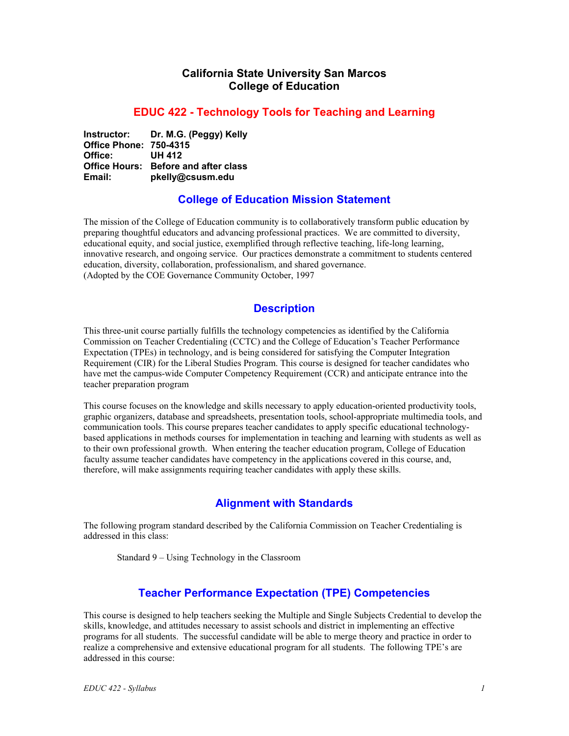## **California State University San Marcos College of Education**

#### **EDUC 422 - Technology Tools for Teaching and Learning**

**Instructor: Dr. M.G. (Peggy) Kelly Office Phone: 750-4315 Office: UH 412 Office Hours: Before and after class Email: pkelly@csusm.edu** 

#### **College of Education Mission Statement**

The mission of the College of Education community is to collaboratively transform public education by preparing thoughtful educators and advancing professional practices. We are committed to diversity, educational equity, and social justice, exemplified through reflective teaching, life-long learning, innovative research, and ongoing service. Our practices demonstrate a commitment to students centered education, diversity, collaboration, professionalism, and shared governance. (Adopted by the COE Governance Community October, 1997

## **Description**

This three-unit course partially fulfills the technology competencies as identified by the California Commission on Teacher Credentialing (CCTC) and the College of Education's Teacher Performance Expectation (TPEs) in technology, and is being considered for satisfying the Computer Integration Requirement (CIR) for the Liberal Studies Program. This course is designed for teacher candidates who have met the campus-wide Computer Competency Requirement (CCR) and anticipate entrance into the teacher preparation program

This course focuses on the knowledge and skills necessary to apply education-oriented productivity tools, graphic organizers, database and spreadsheets, presentation tools, school-appropriate multimedia tools, and communication tools. This course prepares teacher candidates to apply specific educational technologybased applications in methods courses for implementation in teaching and learning with students as well as to their own professional growth. When entering the teacher education program, College of Education faculty assume teacher candidates have competency in the applications covered in this course, and, therefore, will make assignments requiring teacher candidates with apply these skills.

## **Alignment with Standards**

The following program standard described by the California Commission on Teacher Credentialing is addressed in this class:

Standard 9 – Using Technology in the Classroom

## **Teacher Performance Expectation (TPE) Competencies**

This course is designed to help teachers seeking the Multiple and Single Subjects Credential to develop the skills, knowledge, and attitudes necessary to assist schools and district in implementing an effective programs for all students. The successful candidate will be able to merge theory and practice in order to realize a comprehensive and extensive educational program for all students. The following TPE's are addressed in this course: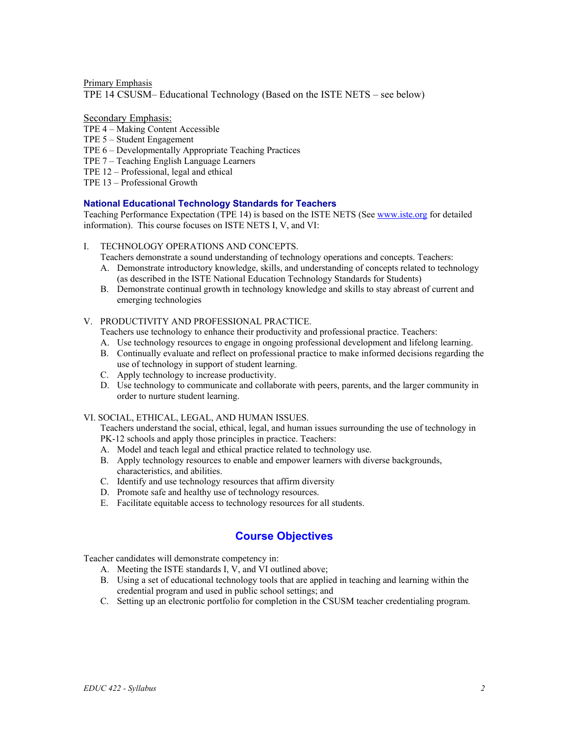Primary Emphasis TPE 14 CSUSM– Educational Technology (Based on the ISTE NETS – see below)

#### Secondary Emphasis:

- TPE 4 Making Content Accessible
- TPE 5 Student Engagement
- TPE 6 Developmentally Appropriate Teaching Practices
- TPE 7 Teaching English Language Learners
- TPE 12 Professional, legal and ethical
- TPE 13 Professional Growth

#### **National Educational Technology Standards for Teachers**

Teaching Performance Expectation (TPE 14) is based on the ISTE NETS (See [www.iste.org](http://www.iste.org/) for detailed information). This course focuses on ISTE NETS I, V, and VI:

- I. TECHNOLOGY OPERATIONS AND CONCEPTS.
	- Teachers demonstrate a sound understanding of technology operations and concepts. Teachers:
	- A. Demonstrate introductory knowledge, skills, and understanding of concepts related to technology (as described in the ISTE National Education Technology Standards for Students)
	- B. Demonstrate continual growth in technology knowledge and skills to stay abreast of current and emerging technologies
- V. PRODUCTIVITY AND PROFESSIONAL PRACTICE.
	- Teachers use technology to enhance their productivity and professional practice. Teachers:
	- A. Use technology resources to engage in ongoing professional development and lifelong learning.
	- B. Continually evaluate and reflect on professional practice to make informed decisions regarding the use of technology in support of student learning.
	- C. Apply technology to increase productivity.
	- D. Use technology to communicate and collaborate with peers, parents, and the larger community in order to nurture student learning.

#### VI. SOCIAL, ETHICAL, LEGAL, AND HUMAN ISSUES.

Teachers understand the social, ethical, legal, and human issues surrounding the use of technology in PK-12 schools and apply those principles in practice. Teachers:

- A. Model and teach legal and ethical practice related to technology use.
- B. Apply technology resources to enable and empower learners with diverse backgrounds, characteristics, and abilities.
- C. Identify and use technology resources that affirm diversity
- D. Promote safe and healthy use of technology resources.
- E. Facilitate equitable access to technology resources for all students.

## **Course Objectives**

Teacher candidates will demonstrate competency in:

- A. Meeting the ISTE standards I, V, and VI outlined above;
- B. Using a set of educational technology tools that are applied in teaching and learning within the credential program and used in public school settings; and
- C. Setting up an electronic portfolio for completion in the CSUSM teacher credentialing program.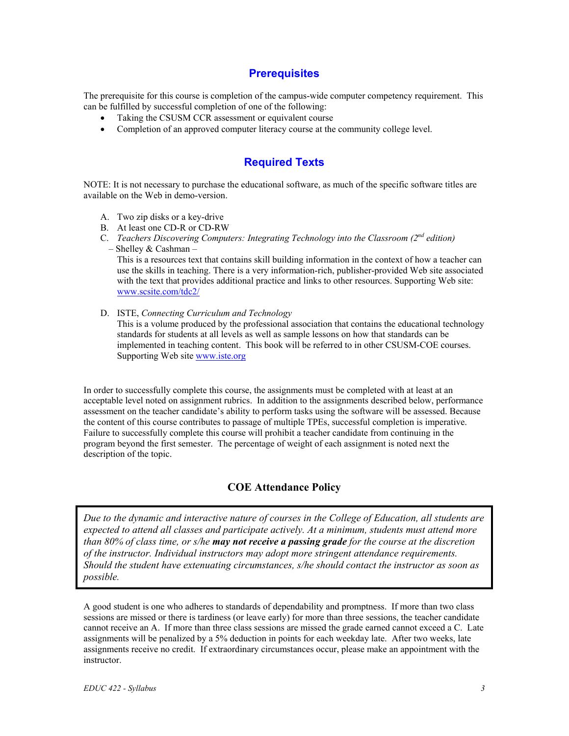## **Prerequisites**

The prerequisite for this course is completion of the campus-wide computer competency requirement. This can be fulfilled by successful completion of one of the following:

- Taking the CSUSM CCR assessment or equivalent course
- Completion of an approved computer literacy course at the community college level.

# **Required Texts**

NOTE: It is not necessary to purchase the educational software, as much of the specific software titles are available on the Web in demo-version.

- A. Two zip disks or a key-drive
- B. At least one CD-R or CD-RW
- C. *Teachers Discovering Computers: Integrating Technology into the Classroom (2nd edition)*
- Shelley & Cashman –

This is a resources text that contains skill building information in the context of how a teacher can use the skills in teaching. There is a very information-rich, publisher-provided Web site associated with the text that provides additional practice and links to other resources. Supporting Web site: [www.scsite.com/tdc2/](http://www.scsite.com/tdc2/)

D. ISTE, *Connecting Curriculum and Technology*

This is a volume produced by the professional association that contains the educational technology standards for students at all levels as well as sample lessons on how that standards can be implemented in teaching content. This book will be referred to in other CSUSM-COE courses. Supporting Web site [www.iste.org](http://www.iste.org/)

In order to successfully complete this course, the assignments must be completed with at least at an acceptable level noted on assignment rubrics. In addition to the assignments described below, performance assessment on the teacher candidate's ability to perform tasks using the software will be assessed. Because the content of this course contributes to passage of multiple TPEs, successful completion is imperative. Failure to successfully complete this course will prohibit a teacher candidate from continuing in the program beyond the first semester. The percentage of weight of each assignment is noted next the description of the topic.

### **COE Attendance Policy**

*Due to the dynamic and interactive nature of courses in the College of Education, all students are expected to attend all classes and participate actively. At a minimum, students must attend more than 80% of class time, or s/he may not receive a passing grade for the course at the discretion of the instructor. Individual instructors may adopt more stringent attendance requirements. Should the student have extenuating circumstances, s/he should contact the instructor as soon as possible.*

A good student is one who adheres to standards of dependability and promptness. If more than two class sessions are missed or there is tardiness (or leave early) for more than three sessions, the teacher candidate cannot receive an A. If more than three class sessions are missed the grade earned cannot exceed a C. Late assignments will be penalized by a 5% deduction in points for each weekday late. After two weeks, late assignments receive no credit. If extraordinary circumstances occur, please make an appointment with the instructor.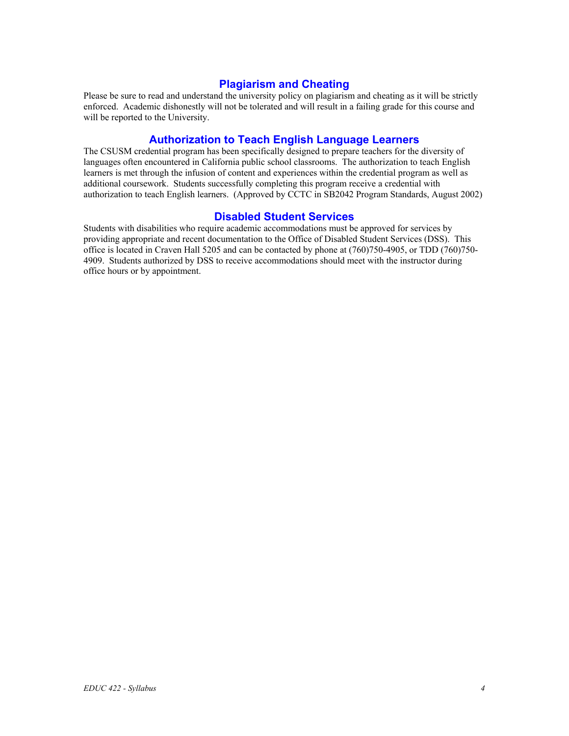### **Plagiarism and Cheating**

Please be sure to read and understand the university policy on plagiarism and cheating as it will be strictly enforced. Academic dishonestly will not be tolerated and will result in a failing grade for this course and will be reported to the University.

#### **Authorization to Teach English Language Learners**

The CSUSM credential program has been specifically designed to prepare teachers for the diversity of languages often encountered in California public school classrooms. The authorization to teach English learners is met through the infusion of content and experiences within the credential program as well as additional coursework. Students successfully completing this program receive a credential with authorization to teach English learners. (Approved by CCTC in SB2042 Program Standards, August 2002)

#### **Disabled Student Services**

Students with disabilities who require academic accommodations must be approved for services by providing appropriate and recent documentation to the Office of Disabled Student Services (DSS). This office is located in Craven Hall 5205 and can be contacted by phone at (760)750-4905, or TDD (760)750- 4909. Students authorized by DSS to receive accommodations should meet with the instructor during office hours or by appointment.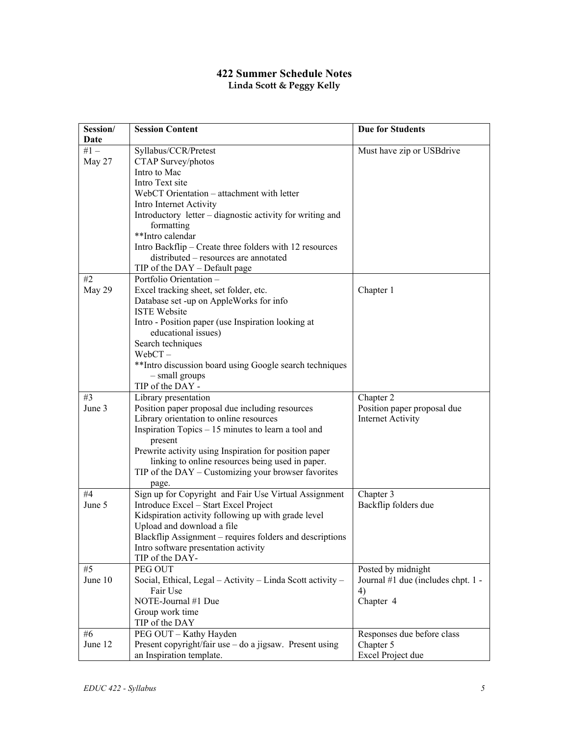## **422 Summer Schedule Notes Linda Scott & Peggy Kelly**

| Session/ | <b>Session Content</b>                                                            | <b>Due for Students</b>            |
|----------|-----------------------------------------------------------------------------------|------------------------------------|
| Date     |                                                                                   |                                    |
| $#1 -$   | Syllabus/CCR/Pretest                                                              | Must have zip or USB drive         |
| May 27   | CTAP Survey/photos                                                                |                                    |
|          | Intro to Mac                                                                      |                                    |
|          | Intro Text site                                                                   |                                    |
|          | WebCT Orientation - attachment with letter                                        |                                    |
|          | Intro Internet Activity                                                           |                                    |
|          | Introductory letter – diagnostic activity for writing and                         |                                    |
|          | formatting                                                                        |                                    |
|          | **Intro calendar                                                                  |                                    |
|          | Intro Backflip - Create three folders with 12 resources                           |                                    |
|          | distributed – resources are annotated                                             |                                    |
|          | TIP of the $DAY - Default$ page                                                   |                                    |
| #2       | Portfolio Orientation -                                                           |                                    |
| May 29   | Excel tracking sheet, set folder, etc.                                            | Chapter 1                          |
|          | Database set -up on AppleWorks for info                                           |                                    |
|          | <b>ISTE Website</b>                                                               |                                    |
|          | Intro - Position paper (use Inspiration looking at                                |                                    |
|          | educational issues)                                                               |                                    |
|          | Search techniques                                                                 |                                    |
|          | $WebCT -$                                                                         |                                    |
|          | **Intro discussion board using Google search techniques                           |                                    |
|          | - small groups                                                                    |                                    |
|          | TIP of the DAY -                                                                  |                                    |
| #3       | Library presentation                                                              | Chapter 2                          |
| June 3   | Position paper proposal due including resources                                   | Position paper proposal due        |
|          | Library orientation to online resources                                           | <b>Internet Activity</b>           |
|          | Inspiration Topics $-15$ minutes to learn a tool and                              |                                    |
|          | present                                                                           |                                    |
|          | Prewrite activity using Inspiration for position paper                            |                                    |
|          | linking to online resources being used in paper.                                  |                                    |
|          | TIP of the $DAY -$ Customizing your browser favorites                             |                                    |
|          | page.                                                                             |                                    |
| #4       | Sign up for Copyright and Fair Use Virtual Assignment                             | Chapter 3                          |
| June 5   | Introduce Excel - Start Excel Project                                             | Backflip folders due               |
|          | Kidspiration activity following up with grade level                               |                                    |
|          | Upload and download a file                                                        |                                    |
|          | Blackflip Assignment – requires folders and descriptions                          |                                    |
|          | Intro software presentation activity                                              |                                    |
|          | TIP of the DAY-                                                                   |                                    |
| #5       | PEG OUT                                                                           | Posted by midnight                 |
| June 10  | Social, Ethical, Legal - Activity - Linda Scott activity -                        | Journal #1 due (includes chpt. 1 - |
|          | Fair Use<br>NOTE-Journal #1 Due                                                   | 4)                                 |
|          |                                                                                   | Chapter 4                          |
|          | Group work time                                                                   |                                    |
| #6       | TIP of the DAY                                                                    |                                    |
| June 12  | PEG OUT - Kathy Hayden<br>Present copyright/fair use - do a jigsaw. Present using | Responses due before class         |
|          |                                                                                   | Chapter 5                          |
|          | an Inspiration template.                                                          | Excel Project due                  |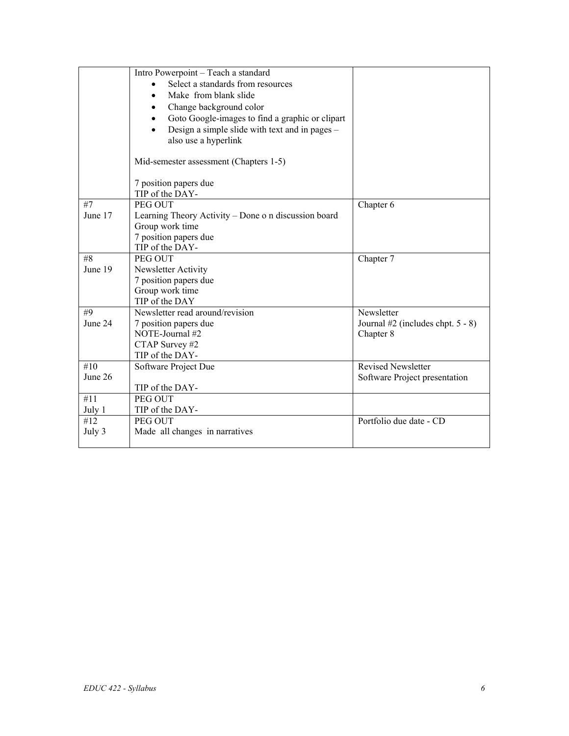|         | Intro Powerpoint - Teach a standard                  |                                     |
|---------|------------------------------------------------------|-------------------------------------|
|         | Select a standards from resources                    |                                     |
|         | Make from blank slide                                |                                     |
|         | Change background color                              |                                     |
|         | Goto Google-images to find a graphic or clipart      |                                     |
|         | Design a simple slide with text and in pages –       |                                     |
|         | also use a hyperlink                                 |                                     |
|         |                                                      |                                     |
|         | Mid-semester assessment (Chapters 1-5)               |                                     |
|         | 7 position papers due                                |                                     |
|         | TIP of the DAY-                                      |                                     |
| #7      | PEG OUT                                              | Chapter 6                           |
| June 17 | Learning Theory Activity - Done o n discussion board |                                     |
|         | Group work time                                      |                                     |
|         | 7 position papers due                                |                                     |
|         | TIP of the DAY-                                      |                                     |
| #8      | PEG OUT                                              | Chapter 7                           |
| June 19 | Newsletter Activity                                  |                                     |
|         | 7 position papers due                                |                                     |
|         | Group work time                                      |                                     |
|         | TIP of the DAY                                       |                                     |
| #9      | Newsletter read around/revision                      | Newsletter                          |
| June 24 | 7 position papers due                                | Journal $#2$ (includes chpt. 5 - 8) |
|         | NOTE-Journal #2                                      | Chapter 8                           |
|         | CTAP Survey #2                                       |                                     |
|         | TIP of the DAY-                                      |                                     |
| #10     | Software Project Due                                 | <b>Revised Newsletter</b>           |
| June 26 |                                                      | Software Project presentation       |
|         | TIP of the DAY-                                      |                                     |
| #11     | PEG OUT                                              |                                     |
| July 1  | TIP of the DAY-                                      |                                     |
| #12     | PEG OUT                                              | Portfolio due date - CD             |
| July 3  | Made all changes in narratives                       |                                     |
|         |                                                      |                                     |